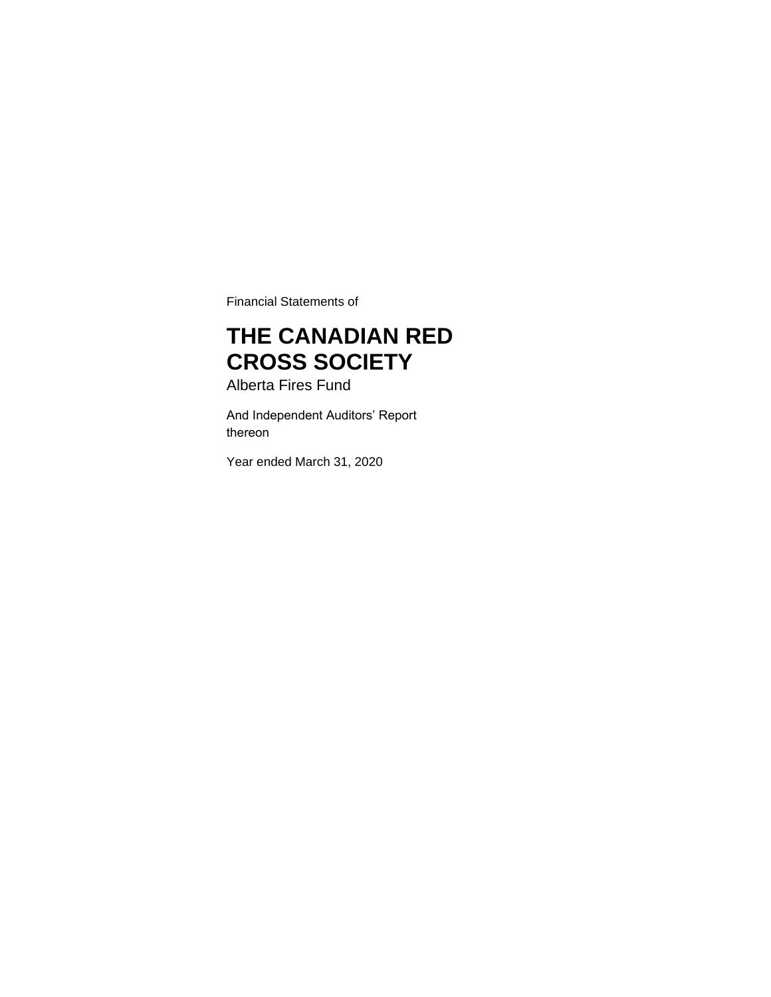Financial Statements of

# **THE CANADIAN RED CROSS SOCIETY**

Alberta Fires Fund

And Independent Auditors' Report thereon

Year ended March 31, 2020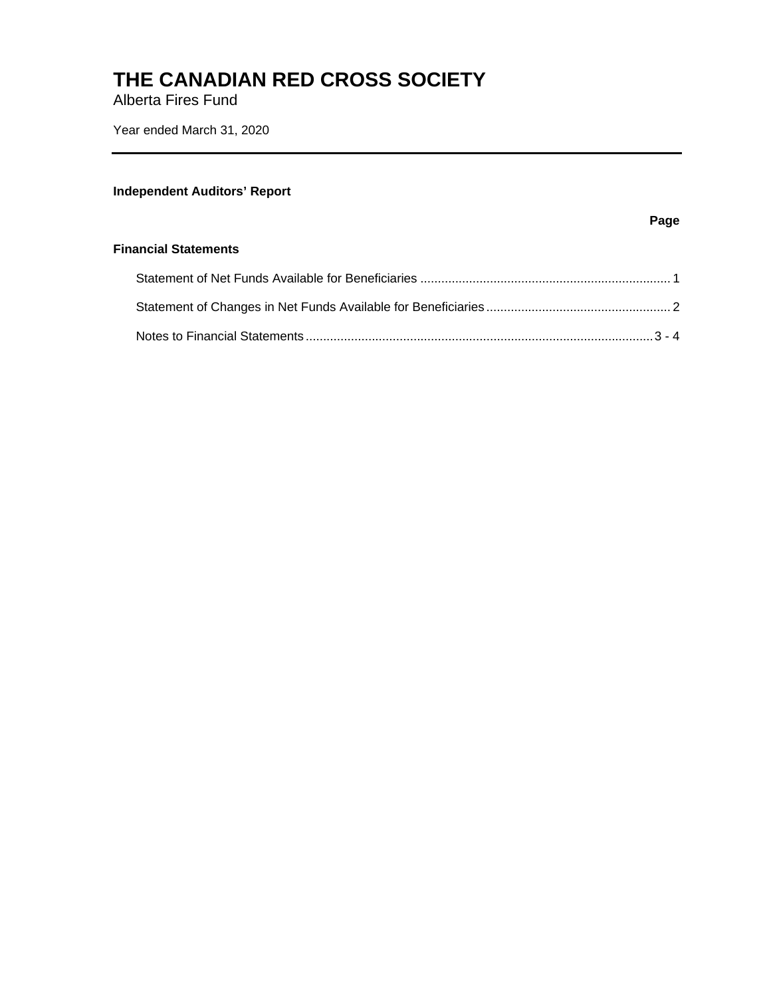Alberta Fires Fund

Year ended March 31, 2020

### **Independent Auditors' Report**

#### **Page**

#### **Financial Statements**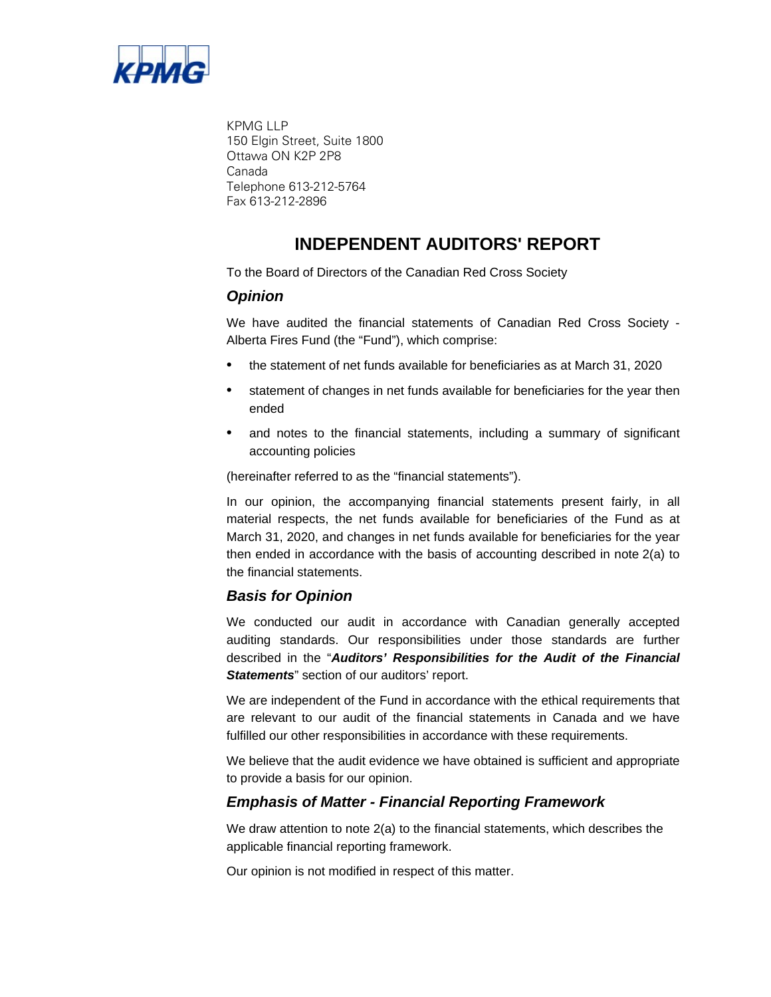

KPMG LLP 150 Elgin Street, Suite 1800 Ottawa ON K2P 2P8 Canada Telephone 613-212-5764 Fax 613-212-2896

## **INDEPENDENT AUDITORS' REPORT**

To the Board of Directors of the Canadian Red Cross Society

### *Opinion*

We have audited the financial statements of Canadian Red Cross Society - Alberta Fires Fund (the "Fund"), which comprise:

- the statement of net funds available for beneficiaries as at March 31, 2020
- statement of changes in net funds available for beneficiaries for the year then ended
- and notes to the financial statements, including a summary of significant accounting policies

(hereinafter referred to as the "financial statements").

In our opinion, the accompanying financial statements present fairly, in all material respects, the net funds available for beneficiaries of the Fund as at March 31, 2020, and changes in net funds available for beneficiaries for the year then ended in accordance with the basis of accounting described in note 2(a) to the financial statements.

### *Basis for Opinion*

We conducted our audit in accordance with Canadian generally accepted auditing standards. Our responsibilities under those standards are further described in the "*Auditors' Responsibilities for the Audit of the Financial Statements*" section of our auditors' report.

We are independent of the Fund in accordance with the ethical requirements that are relevant to our audit of the financial statements in Canada and we have fulfilled our other responsibilities in accordance with these requirements.

We believe that the audit evidence we have obtained is sufficient and appropriate to provide a basis for our opinion.

### *Emphasis of Matter - Financial Reporting Framework*

We draw attention to note 2(a) to the financial statements, which describes the applicable financial reporting framework.

Our opinion is not modified in respect of this matter.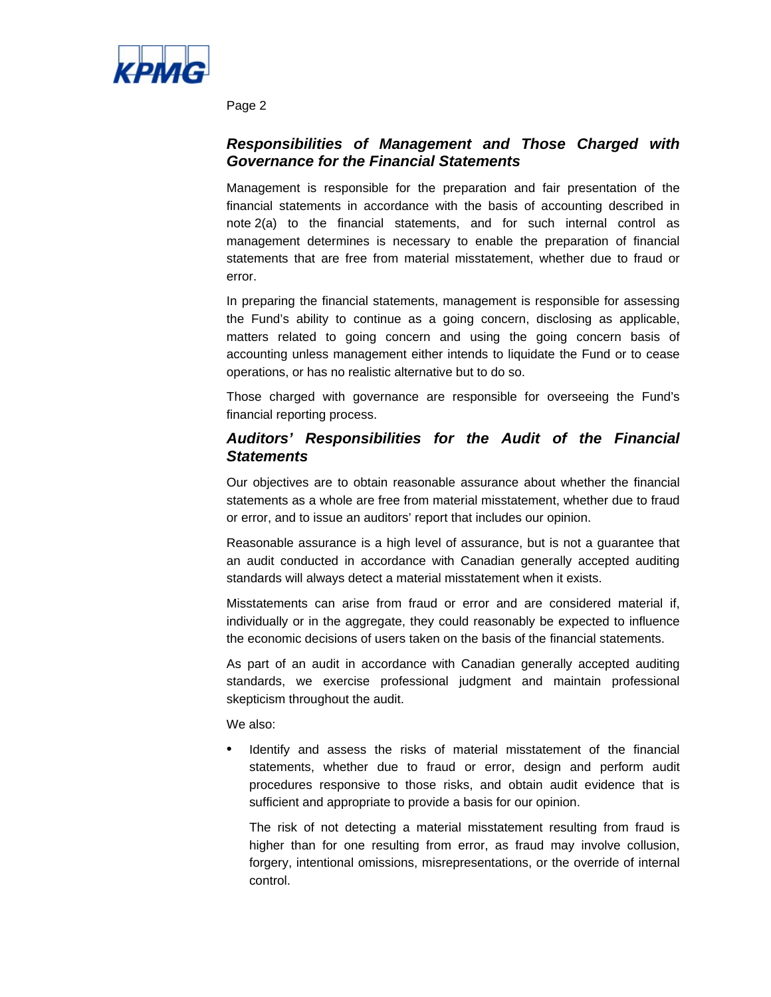

Page 2

### *Responsibilities of Management and Those Charged with Governance for the Financial Statements*

Management is responsible for the preparation and fair presentation of the financial statements in accordance with the basis of accounting described in note 2(a) to the financial statements, and for such internal control as management determines is necessary to enable the preparation of financial statements that are free from material misstatement, whether due to fraud or error.

In preparing the financial statements, management is responsible for assessing the Fund's ability to continue as a going concern, disclosing as applicable, matters related to going concern and using the going concern basis of accounting unless management either intends to liquidate the Fund or to cease operations, or has no realistic alternative but to do so.

Those charged with governance are responsible for overseeing the Fund's financial reporting process.

### *Auditors' Responsibilities for the Audit of the Financial Statements*

Our objectives are to obtain reasonable assurance about whether the financial statements as a whole are free from material misstatement, whether due to fraud or error, and to issue an auditors' report that includes our opinion.

Reasonable assurance is a high level of assurance, but is not a guarantee that an audit conducted in accordance with Canadian generally accepted auditing standards will always detect a material misstatement when it exists.

Misstatements can arise from fraud or error and are considered material if, individually or in the aggregate, they could reasonably be expected to influence the economic decisions of users taken on the basis of the financial statements.

As part of an audit in accordance with Canadian generally accepted auditing standards, we exercise professional judgment and maintain professional skepticism throughout the audit.

We also:

Identify and assess the risks of material misstatement of the financial statements, whether due to fraud or error, design and perform audit procedures responsive to those risks, and obtain audit evidence that is sufficient and appropriate to provide a basis for our opinion.

The risk of not detecting a material misstatement resulting from fraud is higher than for one resulting from error, as fraud may involve collusion, forgery, intentional omissions, misrepresentations, or the override of internal control.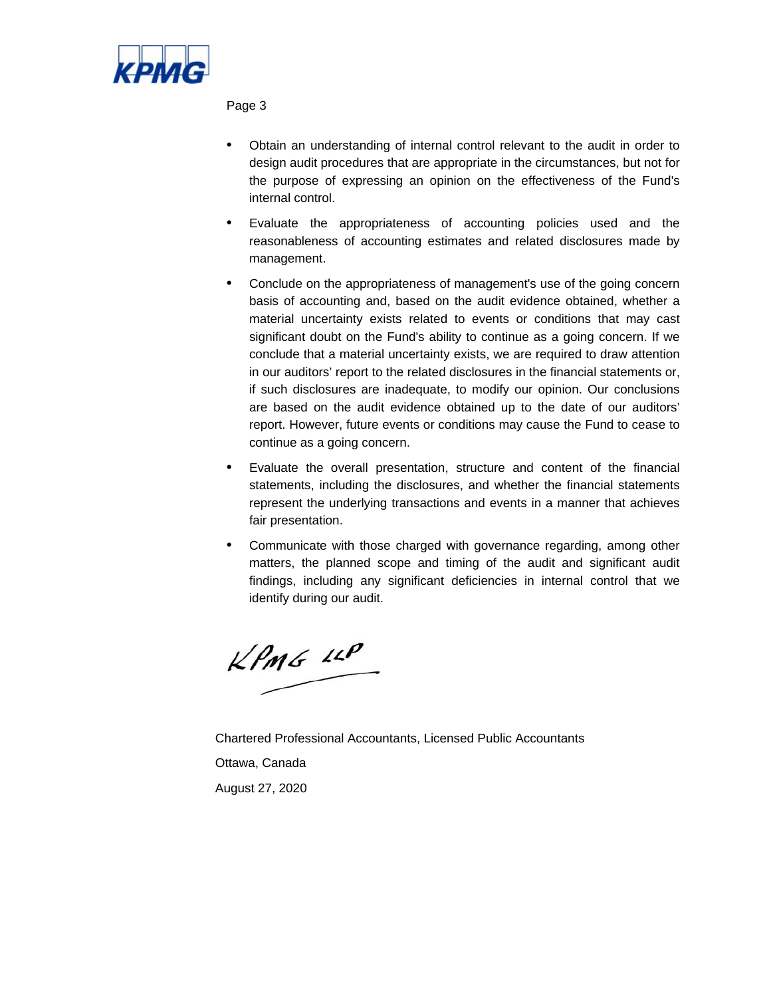

Page 3

- Obtain an understanding of internal control relevant to the audit in order to design audit procedures that are appropriate in the circumstances, but not for the purpose of expressing an opinion on the effectiveness of the Fund's internal control.
- Evaluate the appropriateness of accounting policies used and the reasonableness of accounting estimates and related disclosures made by management.
- Conclude on the appropriateness of management's use of the going concern basis of accounting and, based on the audit evidence obtained, whether a material uncertainty exists related to events or conditions that may cast significant doubt on the Fund's ability to continue as a going concern. If we conclude that a material uncertainty exists, we are required to draw attention in our auditors' report to the related disclosures in the financial statements or, if such disclosures are inadequate, to modify our opinion. Our conclusions are based on the audit evidence obtained up to the date of our auditors' report. However, future events or conditions may cause the Fund to cease to continue as a going concern.
- Evaluate the overall presentation, structure and content of the financial statements, including the disclosures, and whether the financial statements represent the underlying transactions and events in a manner that achieves fair presentation.
- Communicate with those charged with governance regarding, among other matters, the planned scope and timing of the audit and significant audit findings, including any significant deficiencies in internal control that we identify during our audit.

KPMG LLP

Chartered Professional Accountants, Licensed Public Accountants Ottawa, Canada August 27, 2020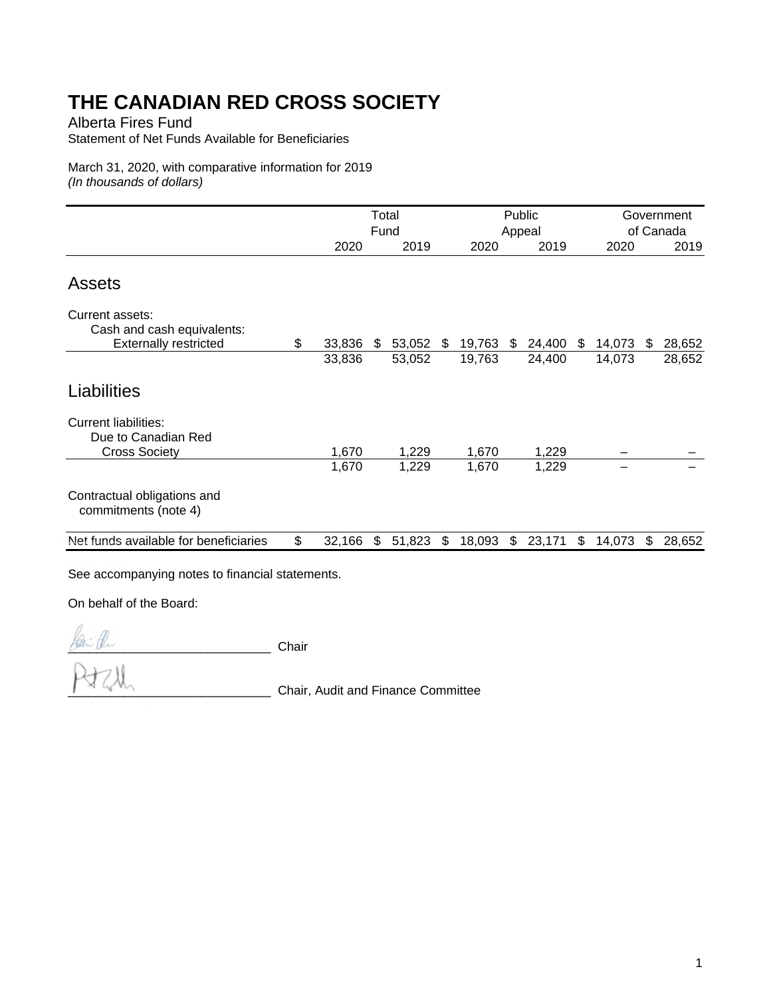Alberta Fires Fund

Statement of Net Funds Available for Beneficiaries

March 31, 2020, with comparative information for 2019 *(In thousands of dollars)* 

|                                                                               | Total<br>Fund |     |        |    | Public<br>Appeal |     |                  |    |        | Government<br>of Canada |        |
|-------------------------------------------------------------------------------|---------------|-----|--------|----|------------------|-----|------------------|----|--------|-------------------------|--------|
|                                                                               | 2020          |     | 2019   |    | 2020             |     | 2019             |    | 2020   |                         | 2019   |
| <b>Assets</b>                                                                 |               |     |        |    |                  |     |                  |    |        |                         |        |
| Current assets:<br>Cash and cash equivalents:<br><b>Externally restricted</b> | \$<br>33,836  | \$  | 53,052 | \$ | 19,763           | \$  |                  | \$ | 14,073 | \$                      | 28,652 |
|                                                                               | 33,836        |     | 53,052 |    | 19,763           |     | 24,400<br>24,400 |    | 14,073 |                         | 28,652 |
| Liabilities<br><b>Current liabilities:</b><br>Due to Canadian Red             |               |     |        |    |                  |     |                  |    |        |                         |        |
| <b>Cross Society</b>                                                          | 1,670         |     | 1,229  |    | 1,670            |     | 1,229            |    |        |                         |        |
|                                                                               | 1,670         |     | 1,229  |    | 1,670            |     | 1,229            |    |        |                         |        |
| Contractual obligations and<br>commitments (note 4)                           |               |     |        |    |                  |     |                  |    |        |                         |        |
| Net funds available for beneficiaries                                         | \$<br>32,166  | \$. | 51,823 | S  | 18,093           | \$. | 23,171           | \$ | 14,073 | \$                      | 28,652 |
|                                                                               |               |     |        |    |                  |     |                  |    |        |                         |        |

See accompanying notes to financial statements.

On behalf of the Board:

 $\oint_{\mathbb{R}} f(x) dx$  Chair

\_\_\_\_\_\_\_\_\_\_\_\_\_\_\_\_\_\_\_\_\_\_\_\_\_\_\_\_\_ Chair, Audit and Finance Committee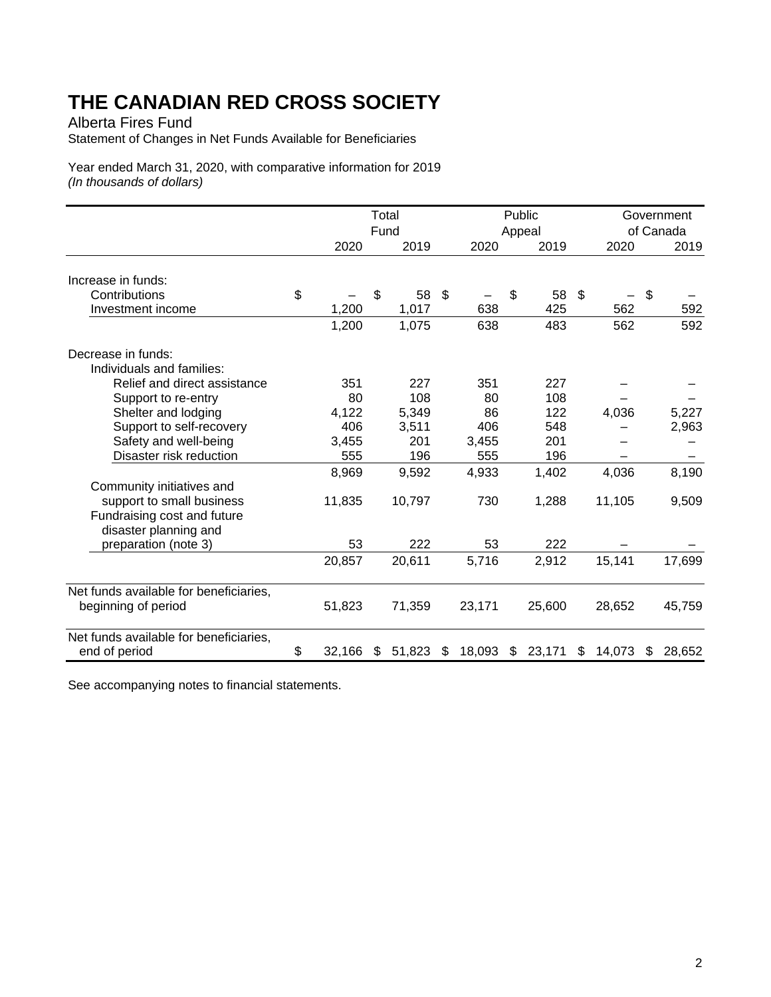Alberta Fires Fund

Statement of Changes in Net Funds Available for Beneficiaries

Year ended March 31, 2020, with comparative information for 2019 *(In thousands of dollars)* 

|                                        |              | Total<br>Fund |        | Public<br>Appeal | Government<br>of Canada |              |    |        |    |        |
|----------------------------------------|--------------|---------------|--------|------------------|-------------------------|--------------|----|--------|----|--------|
|                                        | 2020         |               | 2019   |                  | 2020                    | 2019         |    | 2020   |    | 2019   |
| Increase in funds:                     |              |               |        |                  |                         |              |    |        |    |        |
| Contributions                          | \$           | \$            | 58     | \$               |                         | \$<br>58     | \$ |        | \$ |        |
| Investment income                      | 1,200        |               | 1,017  |                  | 638                     | 425          |    | 562    |    | 592    |
|                                        | 1,200        |               | 1,075  |                  | 638                     | 483          |    | 562    |    | 592    |
| Decrease in funds:                     |              |               |        |                  |                         |              |    |        |    |        |
| Individuals and families:              |              |               |        |                  |                         |              |    |        |    |        |
| Relief and direct assistance           | 351          |               | 227    |                  | 351                     | 227          |    |        |    |        |
| Support to re-entry                    | 80           |               | 108    |                  | 80                      | 108          |    |        |    |        |
| Shelter and lodging                    | 4,122        |               | 5,349  |                  | 86                      | 122          |    | 4,036  |    | 5,227  |
| Support to self-recovery               | 406          |               | 3,511  |                  | 406                     | 548          |    |        |    | 2,963  |
| Safety and well-being                  | 3,455        |               | 201    |                  | 3,455                   | 201          |    |        |    |        |
| Disaster risk reduction                | 555          |               | 196    |                  | 555                     | 196          |    |        |    |        |
|                                        | 8,969        |               | 9,592  |                  | 4,933                   | 1,402        |    | 4,036  |    | 8,190  |
| Community initiatives and              |              |               |        |                  |                         |              |    |        |    |        |
| support to small business              | 11,835       |               | 10,797 |                  | 730                     | 1,288        |    | 11,105 |    | 9,509  |
| Fundraising cost and future            |              |               |        |                  |                         |              |    |        |    |        |
| disaster planning and                  |              |               |        |                  |                         |              |    |        |    |        |
| preparation (note 3)                   | 53           |               | 222    |                  | 53                      | 222          |    |        |    |        |
|                                        | 20,857       |               | 20,611 |                  | 5,716                   | 2,912        |    | 15,141 |    | 17,699 |
| Net funds available for beneficiaries, |              |               |        |                  |                         |              |    |        |    |        |
| beginning of period                    | 51,823       |               | 71,359 |                  | 23,171                  | 25,600       |    | 28,652 |    | 45,759 |
| Net funds available for beneficiaries, |              |               |        |                  |                         |              |    |        |    |        |
| end of period                          | \$<br>32,166 | S.            | 51,823 | \$               | 18,093                  | \$<br>23,171 | \$ | 14,073 | S  | 28,652 |

See accompanying notes to financial statements.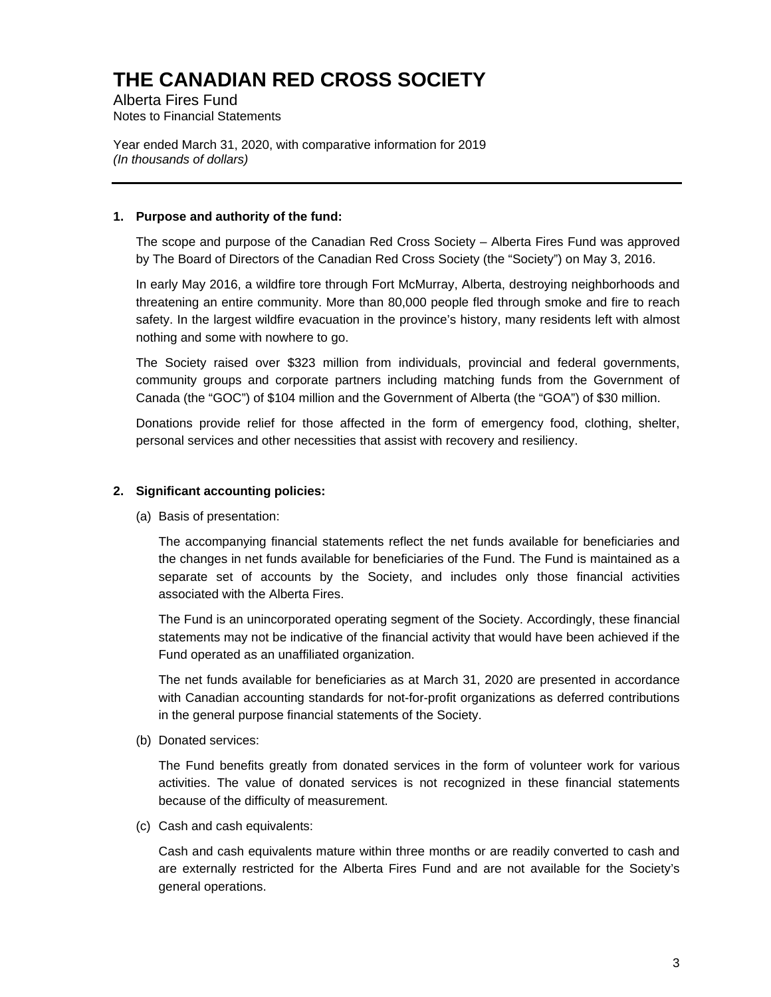Alberta Fires Fund Notes to Financial Statements

Year ended March 31, 2020, with comparative information for 2019 *(In thousands of dollars)* 

#### **1. Purpose and authority of the fund:**

The scope and purpose of the Canadian Red Cross Society – Alberta Fires Fund was approved by The Board of Directors of the Canadian Red Cross Society (the "Society") on May 3, 2016.

In early May 2016, a wildfire tore through Fort McMurray, Alberta, destroying neighborhoods and threatening an entire community. More than 80,000 people fled through smoke and fire to reach safety. In the largest wildfire evacuation in the province's history, many residents left with almost nothing and some with nowhere to go.

The Society raised over \$323 million from individuals, provincial and federal governments, community groups and corporate partners including matching funds from the Government of Canada (the "GOC") of \$104 million and the Government of Alberta (the "GOA") of \$30 million.

Donations provide relief for those affected in the form of emergency food, clothing, shelter, personal services and other necessities that assist with recovery and resiliency.

#### **2. Significant accounting policies:**

(a) Basis of presentation:

The accompanying financial statements reflect the net funds available for beneficiaries and the changes in net funds available for beneficiaries of the Fund. The Fund is maintained as a separate set of accounts by the Society, and includes only those financial activities associated with the Alberta Fires.

The Fund is an unincorporated operating segment of the Society. Accordingly, these financial statements may not be indicative of the financial activity that would have been achieved if the Fund operated as an unaffiliated organization.

The net funds available for beneficiaries as at March 31, 2020 are presented in accordance with Canadian accounting standards for not-for-profit organizations as deferred contributions in the general purpose financial statements of the Society.

(b) Donated services:

The Fund benefits greatly from donated services in the form of volunteer work for various activities. The value of donated services is not recognized in these financial statements because of the difficulty of measurement.

(c) Cash and cash equivalents:

Cash and cash equivalents mature within three months or are readily converted to cash and are externally restricted for the Alberta Fires Fund and are not available for the Society's general operations.